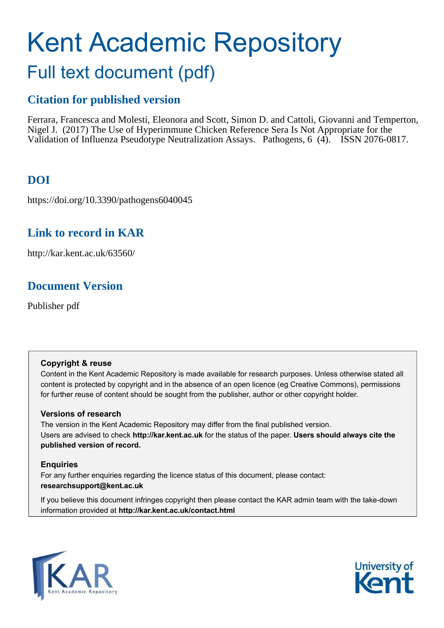# Kent Academic Repository Full text document (pdf)

### **Citation for published version**

Ferrara, Francesca and Molesti, Eleonora and Scott, Simon D. and Cattoli, Giovanni and Temperton, Nigel J. (2017) The Use of Hyperimmune Chicken Reference Sera Is Not Appropriate for the Validation of Influenza Pseudotype Neutralization Assays. Pathogens, 6 (4). ISSN 2076-0817.

# **DOI**

https://doi.org/10.3390/pathogens6040045

## **Link to record in KAR**

http://kar.kent.ac.uk/63560/

## **Document Version**

Publisher pdf

### **Copyright & reuse**

Content in the Kent Academic Repository is made available for research purposes. Unless otherwise stated all content is protected by copyright and in the absence of an open licence (eg Creative Commons), permissions for further reuse of content should be sought from the publisher, author or other copyright holder.

### **Versions of research**

The version in the Kent Academic Repository may differ from the final published version. Users are advised to check **http://kar.kent.ac.uk** for the status of the paper. **Users should always cite the published version of record.**

### **Enquiries**

For any further enquiries regarding the licence status of this document, please contact: **researchsupport@kent.ac.uk**

If you believe this document infringes copyright then please contact the KAR admin team with the take-down information provided at **http://kar.kent.ac.uk/contact.html**



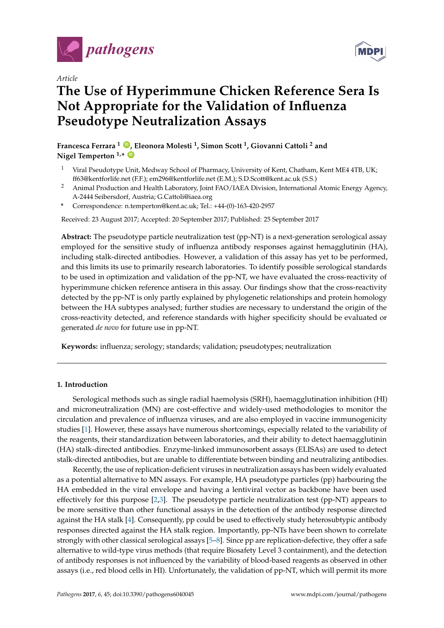

*Article*

# **The Use of Hyperimmune Chicken Reference Sera Is Not Appropriate for the Validation of Influenza Pseudotype Neutralization Assays**

**Francesca Ferrara <sup>1</sup> [ID](https://orcid.org/0000-0002-4973-1520) , Eleonora Molesti <sup>1</sup> , Simon Scott <sup>1</sup> , Giovanni Cattoli <sup>2</sup> and**  $N$ **igel Temperton**  $1.*$   $\bullet$ 

- <sup>1</sup> Viral Pseudotype Unit, Medway School of Pharmacy, University of Kent, Chatham, Kent ME4 4TB, UK; ff63@kentforlife.net (F.F.); em296@kentforlife.net (E.M.); S.D.Scott@kent.ac.uk (S.S.)
- <sup>2</sup> Animal Production and Health Laboratory, Joint FAO/IAEA Division, International Atomic Energy Agency, A-2444 Seibersdorf, Austria; G.Cattoli@iaea.org
- **\*** Correspondence: n.temperton@kent.ac.uk; Tel.: +44-(0)-163-420-2957

Received: 23 August 2017; Accepted: 20 September 2017; Published: 25 September 2017

**Abstract:** The pseudotype particle neutralization test (pp-NT) is a next-generation serological assay employed for the sensitive study of influenza antibody responses against hemagglutinin (HA), including stalk-directed antibodies. However, a validation of this assay has yet to be performed, and this limits its use to primarily research laboratories. To identify possible serological standards to be used in optimization and validation of the pp-NT, we have evaluated the cross-reactivity of hyperimmune chicken reference antisera in this assay. Our findings show that the cross-reactivity detected by the pp-NT is only partly explained by phylogenetic relationships and protein homology between the HA subtypes analysed; further studies are necessary to understand the origin of the cross-reactivity detected, and reference standards with higher specificity should be evaluated or generated *de novo* for future use in pp-NT.

**Keywords:** influenza; serology; standards; validation; pseudotypes; neutralization

#### **1. Introduction**

Serological methods such as single radial haemolysis (SRH), haemagglutination inhibition (HI) and microneutralization (MN) are cost-effective and widely-used methodologies to monitor the circulation and prevalence of influenza viruses, and are also employed in vaccine immunogenicity studies [\[1\]](#page-7-0). However, these assays have numerous shortcomings, especially related to the variability of the reagents, their standardization between laboratories, and their ability to detect haemagglutinin (HA) stalk-directed antibodies. Enzyme-linked immunosorbent assays (ELISAs) are used to detect stalk-directed antibodies, but are unable to differentiate between binding and neutralizing antibodies.

Recently, the use of replication-deficient viruses in neutralization assays has been widely evaluated as a potential alternative to MN assays. For example, HA pseudotype particles (pp) harbouring the HA embedded in the viral envelope and having a lentiviral vector as backbone have been used effectively for this purpose [\[2](#page-7-1)[,3\]](#page-7-2). The pseudotype particle neutralization test (pp-NT) appears to be more sensitive than other functional assays in the detection of the antibody response directed against the HA stalk [\[4\]](#page-7-3). Consequently, pp could be used to effectively study heterosubtypic antibody responses directed against the HA stalk region. Importantly, pp-NTs have been shown to correlate strongly with other classical serological assays [\[5](#page-7-4)[–8\]](#page-7-5). Since pp are replication-defective, they offer a safe alternative to wild-type virus methods (that require Biosafety Level 3 containment), and the detection of antibody responses is not influenced by the variability of blood-based reagents as observed in other assays (i.e., red blood cells in HI). Unfortunately, the validation of pp-NT, which will permit its more

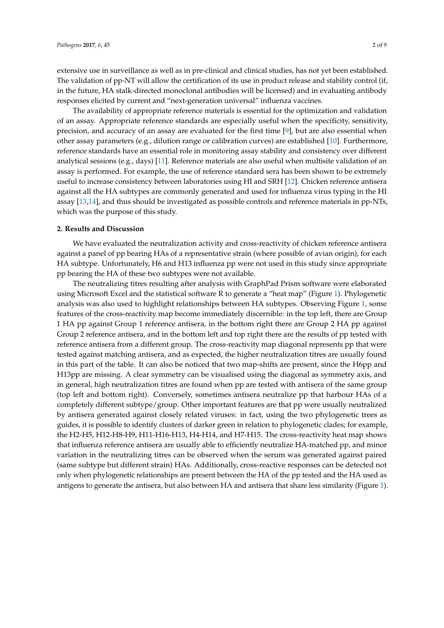<span id="page-2-0"></span>extensive use in surveillance as well as in pre-clinical and clinical studies, has not yet been established. The validation of pp-NT will allow the certification of its use in product release and stability control (if, in the future, HA stalk-directed monoclonal antibodies will be licensed) and in evaluating antibody responses elicited by current and "next-generation universal" influenza vaccines.

The availability of appropriate reference materials is essential for the optimization and validation of an assay. Appropriate reference standards are especially useful when the specificity, sensitivity, precision, and accuracy of an assay are evaluated for the first time [\[9\]](#page-7-6), but are also essential when other assay parameters (e.g., dilution range or calibration curves) are established [\[10\]](#page-7-7). Furthermore, reference standards have an essential role in monitoring assay stability and consistency over different analytical sessions (e.g., days) [\[11\]](#page-7-8). Reference materials are also useful when multisite validation of an assay is performed. For example, the use of reference standard sera has been shown to be extremely useful to increase consistency between laboratories using HI and SRH [\[12\]](#page-7-9). Chicken reference antisera against all the HA subtypes are commonly generated and used for influenza virus typing in the HI assay [\[13,](#page-7-10)[14\]](#page-7-11), and thus should be investigated as possible controls and reference materials in pp-NTs, which was the purpose of this study.

#### **2. Results and Discussion**

We have evaluated the neutralization activity and cross-reactivity of chicken reference antisera against a panel of pp bearing HAs of a representative strain (where possible of avian origin), for each HA subtype. Unfortunately, H6 and H13 influenza pp were not used in this study since appropriate pp bearing the HA of these two subtypes were not available.

The neutralizing titres resulting after analysis with GraphPad Prism software were elaborated using Microsoft Excel and the statistical software R to generate a "heat map" (Figure [1\)](#page-2-0). Phylogenetic analysis was also used to highlight relationships between HA subtypes. Observing Figure [1,](#page-2-0) some features of the cross-reactivity map become immediately discernible: in the top left, there are Group 1 HA pp against Group 1 reference antisera, in the bottom right there are Group 2 HA pp against Group 2 reference antisera, and in the bottom left and top right there are the results of pp tested with reference antisera from a different group. The cross-reactivity map diagonal represents pp that were tested against matching antisera, and as expected, the higher neutralization titres are usually found in this part of the table. It can also be noticed that two map-shifts are present, since the H6pp and H13pp are missing. A clear symmetry can be visualised using the diagonal as symmetry axis, and in general, high neutralization titres are found when pp are tested with antisera of the same group (top left and bottom right). Conversely, sometimes antisera neutralize pp that harbour HAs of a completely different subtype/group. Other important features are that pp were usually neutralized by antisera generated against closely related viruses: in fact, using the two phylogenetic trees as guides, it is possible to identify clusters of darker green in relation to phylogenetic clades; for example, the H2-H5, H12-H8-H9, H11-H16-H13, H4-H14, and H7-H15. The cross-reactivity heat map shows that influenza reference antisera are usually able to efficiently neutralize HA-matched pp, and minor variation in the neutralizing titres can be observed when the serum was generated against paired (same subtype but different strain) HAs. Additionally, cross-reactive responses can be detected not only when phylogenetic relationships are present between the HA of the pp tested and the HA used as antigens to generate the antisera, but also between HA and antisera that share less similarity (Figure [1\)](#page-2-0).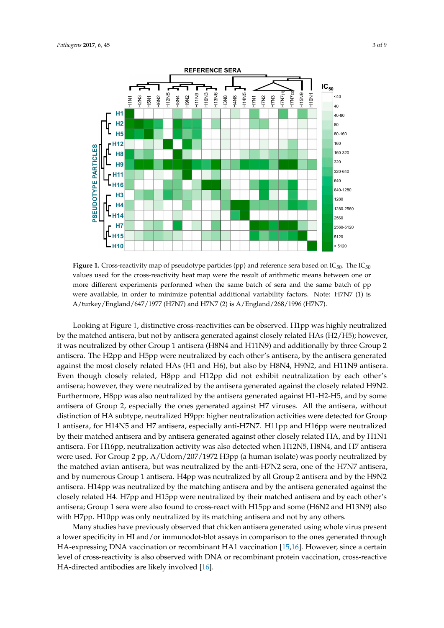

<span id="page-3-0"></span>**Figure 1.** Cross-reactivity map of pseudotype particles (pp) and reference sera based on  $IC_{50}$ . The  $IC_{50}$ values used for the cross-reactivity heat map were the result of arithmetic means between one or more different experiments performed when the same batch of sera and the same batch of pp were available, in order to minimize potential additional variability factors. Note: H7N7 (1) is A/turkey/England/647/1977 (H7N7) and H7N7 (2) is A/England/268/1996 (H7N7).

Looking at Figure [1,](#page-2-0) distinctive cross-reactivities can be observed. H1pp was highly neutralized by the matched antisera, but not by antisera generated against closely related HAs (H2/H5); however, it was neutralized by other Group 1 antisera (H8N4 and H11N9) and additionally by three Group 2 antisera. The H2pp and H5pp were neutralized by each other's antisera, by the antisera generated against the most closely related HAs (H1 and H6), but also by H8N4, H9N2, and H11N9 antisera. Even though closely related, H8pp and H12pp did not exhibit neutralization by each other's antisera; however, they were neutralized by the antisera generated against the closely related H9N2. Furthermore, H8pp was also neutralized by the antisera generated against H1-H2-H5, and by some antisera of Group 2, especially the ones generated against H7 viruses. All the antisera, without distinction of HA subtype, neutralized H9pp: higher neutralization activities were detected for Group 1 antisera, for H14N5 and H7 antisera, especially anti-H7N7. H11pp and H16pp were neutralized by their matched antisera and by antisera generated against other closely related HA, and by H1N1 antisera. For H16pp, neutralization activity was also detected when H12N5, H8N4, and H7 antisera were used. For Group 2 pp, A/Udorn/207/1972 H3pp (a human isolate) was poorly neutralized by the matched avian antisera, but was neutralized by the anti-H7N2 sera, one of the H7N7 antisera, and by numerous Group 1 antisera. H4pp was neutralized by all Group 2 antisera and by the H9N2 antisera. H14pp was neutralized by the matching antisera and by the antisera generated against the closely related H4. H7pp and H15pp were neutralized by their matched antisera and by each other's antisera; Group 1 sera were also found to cross-react with H15pp and some (H6N2 and H13N9) also with H7pp. H10pp was only neutralized by its matching antisera and not by any others.

Many studies have previously observed that chicken antisera generated using whole virus present a lower specificity in HI and/or immunodot-blot assays in comparison to the ones generated through HA-expressing DNA vaccination or recombinant HA1 vaccination [\[15](#page-7-12)[,16\]](#page-7-13). However, since a certain level of cross-reactivity is also observed with DNA or recombinant protein vaccination, cross-reactive HA-directed antibodies are likely involved [\[16\]](#page-7-13).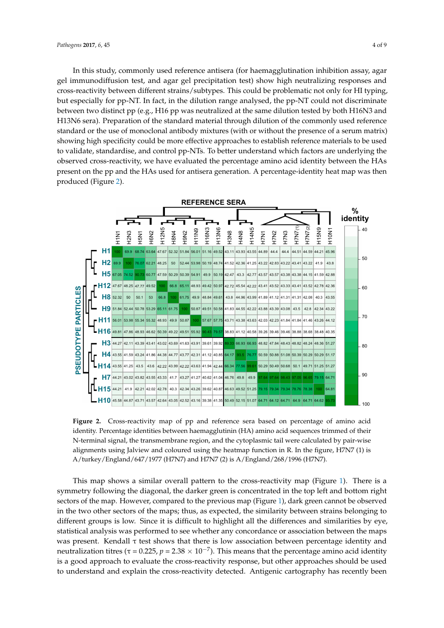In this study, commonly used reference antisera (for haemagglutination inhibition assay, agar gel immunodiffusion test, and agar gel precipitation test) show high neutralizing responses and cross-reactivity between different strains/subtypes. This could be problematic not only for HI typing, but especially for pp-NT. In fact, in the dilution range analysed, the pp-NT could not discriminate between two distinct pp (e.g., H16 pp was neutralized at the same dilution tested by both H16N3 and H13N6 sera). Preparation of the standard material through dilution of the commonly used reference standard or the use of monoclonal antibody mixtures (with or without the presence of a serum matrix) showing high specificity could be more effective approaches to establish reference materials to be used to validate, standardise, and control pp-NTs. To better understand which factors are underlying the observed cross-reactivity, we have evaluated the percentage amino acid identity between the HAs present on the pp and the HAs used for antisera generation. A percentage-identity heat map was then produced (Figure [2\)](#page-3-0).

<span id="page-4-0"></span>

**Figure 2.** Cross-reactivity map of pp and reference sera based on percentage of amino acid identity. Percentage identities between haemagglutinin (HA) amino acid sequences trimmed of their N-terminal signal, the transmembrane region, and the cytoplasmic tail were calculated by pair-wise alignments using Jalview and coloured using the heatmap function in R. In the figure, H7N7 (1) is A/turkey/England/647/1977 (H7N7) and H7N7 (2) is A/England/268/1996 (H7N7).

<span id="page-4-1"></span>statistical analysis was performed to see whether any concordance or association between the maps was present. Kendall τ test shows that there is low association between percentage identity and This map shows a similar overall pattern to the cross-reactivity map (Figure [1\)](#page-2-0). There is a symmetry following the diagonal, the darker green is concentrated in the top left and bottom right sectors of the map. However, compared to the previous map (Figure [1\)](#page-2-0), dark green cannot be observed in the two other sectors of the maps; thus, as expected, the similarity between strains belonging to different groups is low. Since it is difficult to highlight all the differences and similarities by eye, neutralization titres ( $\tau$  = 0.225,  $p$  = 2.38  $\times$  10<sup>-7</sup>). This means that the percentage amino acid identity is a good approach to evaluate the cross-reactivity response, but other approaches should be used to understand and explain the cross-reactivity detected. Antigenic cartography has recently been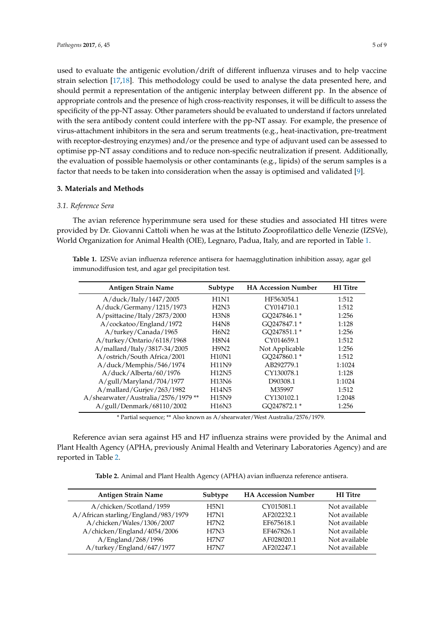used to evaluate the antigenic evolution/drift of different influenza viruses and to help vaccine strain selection [\[17](#page-7-14)[,18\]](#page-7-15). This methodology could be used to analyse the data presented here, and should permit a representation of the antigenic interplay between different pp. In the absence of appropriate controls and the presence of high cross-reactivity responses, it will be difficult to assess the specificity of the pp-NT assay. Other parameters should be evaluated to understand if factors unrelated with the sera antibody content could interfere with the pp-NT assay. For example, the presence of virus-attachment inhibitors in the sera and serum treatments (e.g., heat-inactivation, pre-treatment with receptor-destroying enzymes) and/or the presence and type of adjuvant used can be assessed to optimise pp-NT assay conditions and to reduce non-specific neutralization if present. Additionally, the evaluation of possible haemolysis or other contaminants (e.g., lipids) of the serum samples is a factor that needs to be taken into consideration when the assay is optimised and validated [\[9\]](#page-7-6).

#### **3. Materials and Methods**

#### <span id="page-5-0"></span>*3.1. Reference Sera*

The avian reference hyperimmune sera used for these studies and associated HI titres were provided by Dr. Giovanni Cattoli when he was at the Istituto Zooprofilattico delle Venezie (IZSVe), World Organization for Animal Health (OIE), Legnaro, Padua, Italy, and are reported in Table [1.](#page-4-0)

**Table 1.** IZSVe avian influenza reference antisera for haemagglutination inhibition assay, agar gel immunodiffusion test, and agar gel precipitation test.

| <b>Antigen Strain Name</b>         | Subtype                       | <b>HA Accession Number</b> | <b>HI</b> Titre |
|------------------------------------|-------------------------------|----------------------------|-----------------|
| A/duck/Italy/1447/2005             | H1N1                          | HF563054.1                 | 1:512           |
| A/duck/Germany/1215/1973           | H2N3                          | CY014710.1                 | 1:512           |
| A/psittacine/Italy/2873/2000       | H3N8                          | GO247846.1 *               | 1:256           |
| A/cockatoo/England/1972            | H <sub>4</sub> N <sub>8</sub> | GO247847.1 *               | 1:128           |
| A/turkey/Canada/1965               | H6N2                          | GO247851.1 *               | 1:256           |
| A/turkey/Ontario/6118/1968         | H8N4                          | CY014659.1                 | 1:512           |
| A/mallard/Italy/3817-34/2005       | H9N2                          | Not Applicable             | 1:256           |
| A/ostrich/South Africa/2001        | <b>H10N1</b>                  | GQ247860.1*                | 1:512           |
| A/duck/Memphis/546/1974            | <b>H11N9</b>                  | AB292779.1                 | 1:1024          |
| A/duck/Alberta/60/1976             | <b>H12N5</b>                  | CY130078.1                 | 1:128           |
| A/gull/Maryland/704/1977           | <b>H13N6</b>                  | D90308.1                   | 1:1024          |
| A/mallard/Gurjev/263/1982          | <b>H14N5</b>                  | M35997                     | 1:512           |
| A/shearwater/Australia/2576/1979** | <b>H15N9</b>                  | CY130102.1                 | 1:2048          |
| A/gull/Denmark/68110/2002          | <b>H16N3</b>                  | GO247872.1 *               | 1:256           |

\* Partial sequence; \*\* Also known as A/shearwater/West Australia/2576/1979.

<span id="page-5-1"></span>Reference avian sera against H5 and H7 influenza strains were provided by the Animal and Plant Health Agency (APHA, previously Animal Health and Veterinary Laboratories Agency) and are reported in Table [2.](#page-4-1)

**Table 2.** Animal and Plant Health Agency (APHA) avian influenza reference antisera.

| <b>Antigen Strain Name</b>          | Subtype | <b>HA Accession Number</b> | <b>HI</b> Titre |
|-------------------------------------|---------|----------------------------|-----------------|
| A/chicken/Scotland/1959             | H5N1    | CY015081.1                 | Not available   |
| A/African starling/England/983/1979 | H7N1    | AF202232.1                 | Not available   |
| A/chicken/Wales/1306/2007           | H7N2    | EF675618.1                 | Not available   |
| A/chicken/England/4054/2006         | H7N3    | EF467826.1                 | Not available   |
| A/England/268/1996                  | H7N7    | AF028020.1                 | Not available   |
| A/turkey/England/647/1977           | H7N7    | AF202247.1                 | Not available   |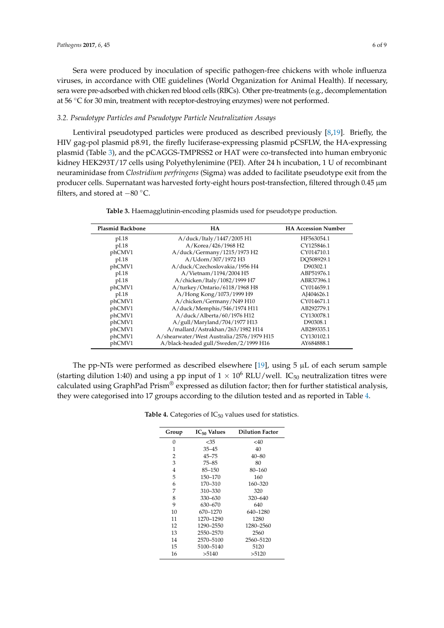Sera were produced by inoculation of specific pathogen-free chickens with whole influenza viruses, in accordance with OIE guidelines (World Organization for Animal Health). If necessary, sera were pre-adsorbed with chicken red blood cells (RBCs). Other pre-treatments (e.g., decomplementation at 56 ◦C for 30 min, treatment with receptor-destroying enzymes) were not performed.

#### *3.2. Pseudotype Particles and Pseudotype Particle Neutralization Assays*

Lentiviral pseudotyped particles were produced as described previously [\[8,](#page-7-5)[19\]](#page-7-16). Briefly, the HIV gag-pol plasmid p8.91, the firefly luciferase-expressing plasmid pCSFLW, the HA-expressing plasmid (Table [3\)](#page-5-0), and the pCAGGS-TMPRSS2 or HAT were co-transfected into human embryonic kidney HEK293T/17 cells using Polyethylenimine (PEI). After 24 h incubation, 1 U of recombinant neuraminidase from *Clostridium perfringens* (Sigma) was added to facilitate pseudotype exit from the producer cells. Supernatant was harvested forty-eight hours post-transfection, filtered through 0.45 µm filters, and stored at −<sup>80</sup> ◦C.

| <b>Plasmid Backbone</b> | <b>HA</b>                                 | <b>HA Accession Number</b> |
|-------------------------|-------------------------------------------|----------------------------|
| pI.18                   | A/duck/Italy/1447/2005 H1                 | HF563054.1                 |
| pI.18                   | A/Korea/426/1968 H2                       | CY125846.1                 |
| phCMV1                  | A/duck/Germany/1215/1973 H2               | CY014710.1                 |
| pI.18                   | A/Udorn/307/1972 H3                       | DO508929.1                 |
| phCMV1                  | A/duck/Czechoslovakia/1956 H4             | D90302.1                   |
| pI.18                   | A/Vietnam/1194/2004 H5                    | ABP51976.1                 |
| pI.18                   | A/chicken/Italy/1082/1999 H7              | ABR37396.1                 |
| phCMV1                  | A/turkey/Ontario/6118/1968 H8             | CY014659.1                 |
| pI.18                   | A/Hong Kong/1073/1999 H9                  | AJ404626.1                 |
| phCMV1                  | A/chicken/Germany/N49 H10                 | CY014671.1                 |
| phCMV1                  | A/duck/Memphis/546/1974 H11               | AB292779.1                 |
| phCMV1                  | A/duck/Alberta/60/1976 H12                | CY130078.1                 |
| phCMV1                  | A/gull/Maryland/704/1977 H13              | D90308.1                   |
| phCMV1                  | A/mallard/Astrakhan/263/1982 H14          | AB289335.1                 |
| phCMV1                  | A/shearwater/West Australia/2576/1979 H15 | CY130102.1                 |
| phCMV1                  | A/black-headed gull/Sweden/2/1999 H16     | AY684888.1                 |

**Table 3.** Haemagglutinin-encoding plasmids used for pseudotype production.

The pp-NTs were performed as described elsewhere [\[19\]](#page-7-16), using 5 µL of each serum sample (starting dilution 1:40) and using a pp input of  $1 \times 10^6$  RLU/well. IC<sub>50</sub> neutralization titres were calculated using GraphPad Prism® expressed as dilution factor; then for further statistical analysis, they were categorised into 17 groups according to the dilution tested and as reported in Table [4.](#page-5-1)

**Table 4.** Categories of  $IC_{50}$  values used for statistics.

| Group | IC <sub>50</sub> Values | <b>Dilution Factor</b> |
|-------|-------------------------|------------------------|
| 0     | $<$ 35                  | $<$ 40                 |
| 1     | $35 - 45$               | 40                     |
| 2     | $45 - 75$               | $40 - 80$              |
| 3     | $75 - 85$               | 80                     |
| 4     | $85 - 150$              | 80-160                 |
| 5     | 150-170                 | 160                    |
| 6     | 170-310                 | 160-320                |
| 7     | 310-330                 | 320                    |
| 8     | 330-630                 | 320-640                |
| 9     | 630-670                 | 640                    |
| 10    | 670-1270                | 640-1280               |
| 11    | 1270-1290               | 1280                   |
| 12    | 1290-2550               | 1280-2560              |
| 13    | 2550–2570               | 2560                   |
| 14    | 2570-5100               | 2560-5120              |
| 15    | 5100-5140               | 5120                   |
| 16    | >5140                   | >5120                  |
|       |                         |                        |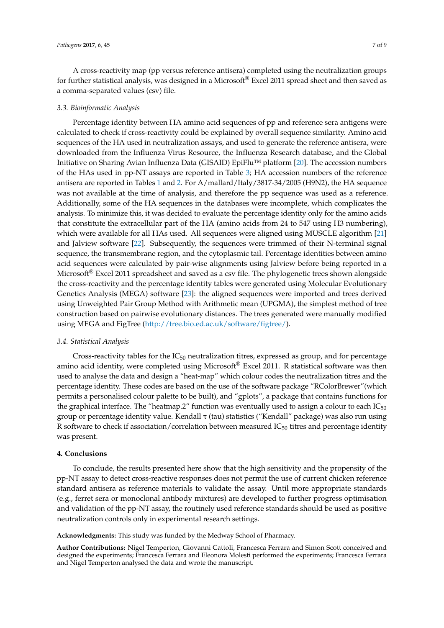A cross-reactivity map (pp versus reference antisera) completed using the neutralization groups for further statistical analysis, was designed in a Microsoft® Excel 2011 spread sheet and then saved as a comma-separated values (csv) file.

#### <span id="page-7-0"></span>*3.3. Bioinformatic Analysis*

<span id="page-7-4"></span><span id="page-7-3"></span><span id="page-7-2"></span><span id="page-7-1"></span>Percentage identity between HA amino acid sequences of pp and reference sera antigens were calculated to check if cross-reactivity could be explained by overall sequence similarity. Amino acid sequences of the HA used in neutralization assays, and used to generate the reference antisera, were downloaded from the Influenza Virus Resource, the Influenza Research database, and the Global Initiative on Sharing Avian Influenza Data (GISAID) EpiFlu™ platform [\[20\]](#page-7-17). The accession numbers of the HAs used in pp-NT assays are reported in Table [3;](#page-5-0) HA accession numbers of the reference antisera are reported in Tables [1](#page-4-0) and [2.](#page-4-1) For A/mallard/Italy/3817-34/2005 (H9N2), the HA sequence was not available at the time of analysis, and therefore the pp sequence was used as a reference. Additionally, some of the HA sequences in the databases were incomplete, which complicates the analysis. To minimize this, it was decided to evaluate the percentage identity only for the amino acids that constitute the extracellular part of the HA (amino acids from 24 to 547 using H3 numbering), which were available for all HAs used. All sequences were aligned using MUSCLE algorithm [\[21\]](#page-8-0) and Jalview software [\[22\]](#page-8-1). Subsequently, the sequences were trimmed of their N-terminal signal sequence, the transmembrane region, and the cytoplasmic tail. Percentage identities between amino acid sequences were calculated by pair-wise alignments using Jalview before being reported in a Microsoft<sup>®</sup> Excel 2011 spreadsheet and saved as a csv file. The phylogenetic trees shown alongside the cross-reactivity and the percentage identity tables were generated using Molecular Evolutionary Genetics Analysis (MEGA) software [\[23\]](#page-8-2): the aligned sequences were imported and trees derived using Unweighted Pair Group Method with Arithmetic mean (UPGMA), the simplest method of tree construction based on pairwise evolutionary distances. The trees generated were manually modified using MEGA and FigTree [\(http://tree.bio.ed.ac.uk/software/figtree/\)](http://tree.bio.ed.ac.uk/software/figtree/).

#### <span id="page-7-8"></span><span id="page-7-7"></span><span id="page-7-6"></span><span id="page-7-5"></span>*3.4. Statistical Analysis*

<span id="page-7-11"></span><span id="page-7-10"></span><span id="page-7-9"></span>Cross-reactivity tables for the  $IC_{50}$  neutralization titres, expressed as group, and for percentage amino acid identity, were completed using Microsoft<sup>®</sup> Excel 2011. R statistical software was then used to analyse the data and design a "heat-map" which colour codes the neutralization titres and the percentage identity. These codes are based on the use of the software package "RColorBrewer"(which permits a personalised colour palette to be built), and "gplots", a package that contains functions for the graphical interface. The "heatmap.2" function was eventually used to assign a colour to each  $IC_{50}$ group or percentage identity value. Kendall τ (tau) statistics ("Kendall" package) was also run using R software to check if association/correlation between measured  $IC_{50}$  titres and percentage identity was present.

#### <span id="page-7-13"></span><span id="page-7-12"></span>**4. Conclusions**

<span id="page-7-15"></span><span id="page-7-14"></span>To conclude, the results presented here show that the high sensitivity and the propensity of the pp-NT assay to detect cross-reactive responses does not permit the use of current chicken reference standard antisera as reference materials to validate the assay. Until more appropriate standards (e.g., ferret sera or monoclonal antibody mixtures) are developed to further progress optimisation and validation of the pp-NT assay, the routinely used reference standards should be used as positive neutralization controls only in experimental research settings.

<span id="page-7-16"></span>**Acknowledgments:** This study was funded by the Medway School of Pharmacy.

<span id="page-7-17"></span>**Author Contributions:** Nigel Temperton, Giovanni Cattoli, Francesca Ferrara and Simon Scott conceived and designed the experiments; Francesca Ferrara and Eleonora Molesti performed the experiments; Francesca Ferrara and Nigel Temperton analysed the data and wrote the manuscript.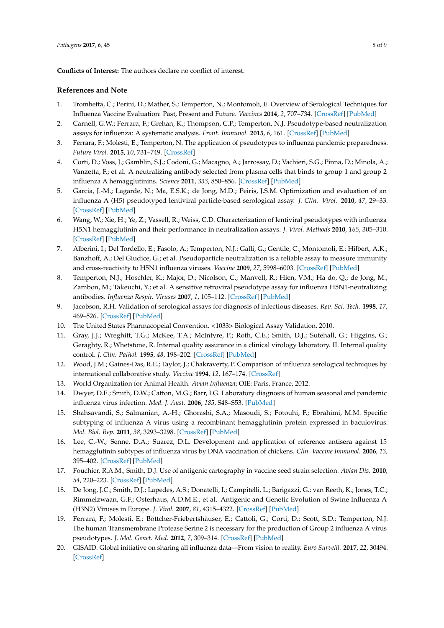<span id="page-8-0"></span>**Conflicts of Interest:** The authors declare no conflict of interest.

#### <span id="page-8-1"></span>**References and Note**

- <span id="page-8-2"></span>1. Trombetta, C.; Perini, D.; Mather, S.; Temperton, N.; Montomoli, E. Overview of Serological Techniques for Influenza Vaccine Evaluation: Past, Present and Future. *Vaccines* **2014**, *2*, 707–734. [\[CrossRef\]](http://dx.doi.org/10.3390/vaccines2040707) [\[PubMed\]](http://www.ncbi.nlm.nih.gov/pubmed/26344888)
- 2. Carnell, G.W.; Ferrara, F.; Grehan, K.; Thompson, C.P.; Temperton, N.J. Pseudotype-based neutralization assays for influenza: A systematic analysis. *Front. Immunol.* **2015**, *6*, 161. [\[CrossRef\]](http://dx.doi.org/10.3389/fimmu.2015.00161) [\[PubMed\]](http://www.ncbi.nlm.nih.gov/pubmed/25972865)
- 3. Ferrara, F.; Molesti, E.; Temperton, N. The application of pseudotypes to influenza pandemic preparedness. *Future Virol.* **2015**, *10*, 731–749. [\[CrossRef\]](http://dx.doi.org/10.2217/fvl.15.36)
- 4. Corti, D.; Voss, J.; Gamblin, S.J.; Codoni, G.; Macagno, A.; Jarrossay, D.; Vachieri, S.G.; Pinna, D.; Minola, A.; Vanzetta, F.; et al. A neutralizing antibody selected from plasma cells that binds to group 1 and group 2 influenza A hemagglutinins. *Science* **2011**, *333*, 850–856. [\[CrossRef\]](http://dx.doi.org/10.1126/science.1205669) [\[PubMed\]](http://www.ncbi.nlm.nih.gov/pubmed/21798894)
- 5. Garcia, J.-M.; Lagarde, N.; Ma, E.S.K.; de Jong, M.D.; Peiris, J.S.M. Optimization and evaluation of an influenza A (H5) pseudotyped lentiviral particle-based serological assay. *J. Clin. Virol.* **2010**, *47*, 29–33. [\[CrossRef\]](http://dx.doi.org/10.1016/j.jcv.2009.10.009) [\[PubMed\]](http://www.ncbi.nlm.nih.gov/pubmed/19897409)
- 6. Wang, W.; Xie, H.; Ye, Z.; Vassell, R.; Weiss, C.D. Characterization of lentiviral pseudotypes with influenza H5N1 hemagglutinin and their performance in neutralization assays. *J. Virol. Methods* **2010**, *165*, 305–310. [\[CrossRef\]](http://dx.doi.org/10.1016/j.jviromet.2010.02.009) [\[PubMed\]](http://www.ncbi.nlm.nih.gov/pubmed/20153374)
- 7. Alberini, I.; Del Tordello, E.; Fasolo, A.; Temperton, N.J.; Galli, G.; Gentile, C.; Montomoli, E.; Hilbert, A.K.; Banzhoff, A.; Del Giudice, G.; et al. Pseudoparticle neutralization is a reliable assay to measure immunity and cross-reactivity to H5N1 influenza viruses. *Vaccine* **2009**, *27*, 5998–6003. [\[CrossRef\]](http://dx.doi.org/10.1016/j.vaccine.2009.07.079) [\[PubMed\]](http://www.ncbi.nlm.nih.gov/pubmed/19665606)
- 8. Temperton, N.J.; Hoschler, K.; Major, D.; Nicolson, C.; Manvell, R.; Hien, V.M.; Ha do, Q.; de Jong, M.; Zambon, M.; Takeuchi, Y.; et al. A sensitive retroviral pseudotype assay for influenza H5N1-neutralizing antibodies. *Influenza Respir. Viruses* **2007**, *1*, 105–112. [\[CrossRef\]](http://dx.doi.org/10.1111/j.1750-2659.2007.00016.x) [\[PubMed\]](http://www.ncbi.nlm.nih.gov/pubmed/19453415)
- 9. Jacobson, R.H. Validation of serological assays for diagnosis of infectious diseases. *Rev. Sci. Tech.* **1998**, *17*, 469–526. [\[CrossRef\]](http://dx.doi.org/10.20506/rst.17.2.1119) [\[PubMed\]](http://www.ncbi.nlm.nih.gov/pubmed/9713892)
- 10. The United States Pharmacopeial Convention. <1033> Biological Assay Validation. 2010.
- 11. Gray, J.J.; Wreghitt, T.G.; McKee, T.A.; McIntyre, P.; Roth, C.E.; Smith, D.J.; Sutehall, G.; Higgins, G.; Geraghty, R.; Whetstone, R. Internal quality assurance in a clinical virology laboratory. II. Internal quality control. *J. Clin. Pathol.* **1995**, *48*, 198–202. [\[CrossRef\]](http://dx.doi.org/10.1136/jcp.48.3.198) [\[PubMed\]](http://www.ncbi.nlm.nih.gov/pubmed/7730475)
- 12. Wood, J.M.; Gaines-Das, R.E.; Taylor, J.; Chakraverty, P. Comparison of influenza serological techniques by international collaborative study. *Vaccine* **1994**, *12*, 167–174. [\[CrossRef\]](http://dx.doi.org/10.1016/0264-410X(94)90056-6)
- 13. World Organization for Animal Health. *Avian Influenza*; OIE: Paris, France, 2012.
- 14. Dwyer, D.E.; Smith, D.W.; Catton, M.G.; Barr, I.G. Laboratory diagnosis of human seasonal and pandemic influenza virus infection. *Med. J. Aust.* **2006**, *185*, S48–S53. [\[PubMed\]](http://www.ncbi.nlm.nih.gov/pubmed/17115952)
- 15. Shahsavandi, S.; Salmanian, A.-H.; Ghorashi, S.A.; Masoudi, S.; Fotouhi, F.; Ebrahimi, M.M. Specific subtyping of influenza A virus using a recombinant hemagglutinin protein expressed in baculovirus. *Mol. Biol. Rep.* **2011**, *38*, 3293–3298. [\[CrossRef\]](http://dx.doi.org/10.1007/s11033-010-0434-2) [\[PubMed\]](http://www.ncbi.nlm.nih.gov/pubmed/21110118)
- 16. Lee, C.-W.; Senne, D.A.; Suarez, D.L. Development and application of reference antisera against 15 hemagglutinin subtypes of influenza virus by DNA vaccination of chickens. *Clin. Vaccine Immunol.* **2006**, *13*, 395–402. [\[CrossRef\]](http://dx.doi.org/10.1128/CVI.13.3.395-402.2006) [\[PubMed\]](http://www.ncbi.nlm.nih.gov/pubmed/16522783)
- 17. Fouchier, R.A.M.; Smith, D.J. Use of antigenic cartography in vaccine seed strain selection. *Avian Dis.* **2010**, *54*, 220–223. [\[CrossRef\]](http://dx.doi.org/10.1637/8740-032509-ResNote.1) [\[PubMed\]](http://www.ncbi.nlm.nih.gov/pubmed/20521635)
- 18. De Jong, J.C.; Smith, D.J.; Lapedes, A.S.; Donatelli, I.; Campitelli, L.; Barigazzi, G.; van Reeth, K.; Jones, T.C.; Rimmelzwaan, G.F.; Osterhaus, A.D.M.E.; et al. Antigenic and Genetic Evolution of Swine Influenza A (H3N2) Viruses in Europe. *J. Virol.* **2007**, *81*, 4315–4322. [\[CrossRef\]](http://dx.doi.org/10.1128/JVI.02458-06) [\[PubMed\]](http://www.ncbi.nlm.nih.gov/pubmed/17287258)
- 19. Ferrara, F.; Molesti, E.; Böttcher-Friebertshäuser, E.; Cattoli, G.; Corti, D.; Scott, S.D.; Temperton, N.J. The human Transmembrane Protease Serine 2 is necessary for the production of Group 2 influenza A virus pseudotypes. *J. Mol. Genet. Med.* **2012**, *7*, 309–314. [\[CrossRef\]](http://dx.doi.org/10.4172/1747-0862.1000055) [\[PubMed\]](http://www.ncbi.nlm.nih.gov/pubmed/23577043)
- 20. GISAID: Global initiative on sharing all influenza data—From vision to reality. *Euro Surveill.* **2017**, *22*, 30494. [\[CrossRef\]](http://dx.doi.org/10.2807/1560-7917.ES.2017.22.13.30494)